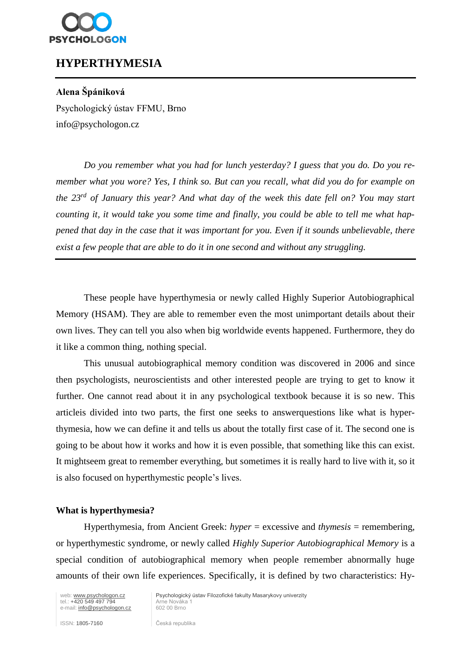

## **HYPERTHYMESIA**

### **Alena Špániková**

Psychologický ústav FFMU, Brno info@psychologon.cz

*Do you remember what you had for lunch yesterday? I guess that you do. Do you remember what you wore? Yes, I think so. But can you recall, what did you do for example on the 23rd of January this year? And what day of the week this date fell on? You may start counting it, it would take you some time and finally, you could be able to tell me what happened that day in the case that it was important for you. Even if it sounds unbelievable, there exist a few people that are able to do it in one second and without any struggling.*

These people have hyperthymesia or newly called Highly Superior Autobiographical Memory (HSAM). They are able to remember even the most unimportant details about their own lives. They can tell you also when big worldwide events happened. Furthermore, they do it like a common thing, nothing special.

This unusual autobiographical memory condition was discovered in 2006 and since then psychologists, neuroscientists and other interested people are trying to get to know it further. One cannot read about it in any psychological textbook because it is so new. This articleis divided into two parts, the first one seeks to answerquestions like what is hyperthymesia, how we can define it and tells us about the totally first case of it. The second one is going to be about how it works and how it is even possible, that something like this can exist. It mightseem great to remember everything, but sometimes it is really hard to live with it, so it is also focused on hyperthymestic people's lives.

#### **What is hyperthymesia?**

Hyperthymesia, from Ancient Greek: *hyper* = excessive and *thymesis* = remembering, or hyperthymestic syndrome, or newly called *Highly Superior Autobiographical Memory* is a special condition of autobiographical memory when people remember abnormally huge amounts of their own life experiences. Specifically, it is defined by two characteristics: Hy-

web: www.psychologon.cz<br>
tel.: +420 549 497 794 Arne Nováka<br>
e-mail: info@psychologon.cz<br>
602 00 Brno e-mail: [info@psychologon.cz](mailto:%20info@psychologon.cz)

Psychologický ústav Filozofické fakulty Masarykovy univerzity

ISSN: 1805-7160 Česká republika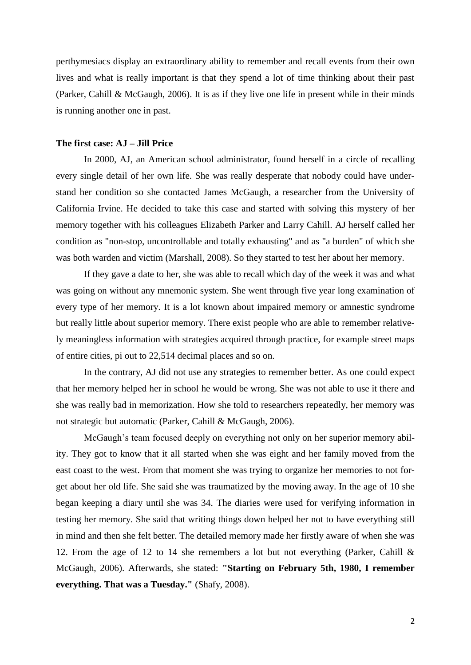perthymesiacs display an extraordinary ability to remember and recall events from their own lives and what is really important is that they spend a lot of time thinking about their past (Parker, Cahill & McGaugh, 2006). It is as if they live one life in present while in their minds is running another one in past.

#### **The first case: AJ – Jill Price**

In 2000, AJ, an American school administrator, found herself in a circle of recalling every single detail of her own life. She was really desperate that nobody could have understand her condition so she contacted James McGaugh, a researcher from the University of California Irvine. He decided to take this case and started with solving this mystery of her memory together with his colleagues Elizabeth Parker and Larry Cahill. AJ herself called her condition as "non-stop, uncontrollable and totally exhausting" and as "a burden" of which she was both warden and victim (Marshall, 2008). So they started to test her about her memory.

If they gave a date to her, she was able to recall which day of the week it was and what was going on without any mnemonic system. She went through five year long examination of every type of her memory. It is a lot known about impaired memory or amnestic syndrome but really little about superior memory. There exist people who are able to remember relatively meaningless information with strategies acquired through practice, for example street maps of entire cities, pi out to 22,514 decimal places and so on.

In the contrary, AJ did not use any strategies to remember better. As one could expect that her memory helped her in school he would be wrong. She was not able to use it there and she was really bad in memorization. How she told to researchers repeatedly, her memory was not strategic but automatic (Parker, Cahill & McGaugh, 2006).

McGaugh's team focused deeply on everything not only on her superior memory ability. They got to know that it all started when she was eight and her family moved from the east coast to the west. From that moment she was trying to organize her memories to not forget about her old life. She said she was traumatized by the moving away. In the age of 10 she began keeping a diary until she was 34. The diaries were used for verifying information in testing her memory. She said that writing things down helped her not to have everything still in mind and then she felt better. The detailed memory made her firstly aware of when she was 12. From the age of 12 to 14 she remembers a lot but not everything (Parker, Cahill & McGaugh, 2006). Afterwards, she stated: **"Starting on February 5th, 1980, I remember everything. That was a Tuesday."** (Shafy, 2008).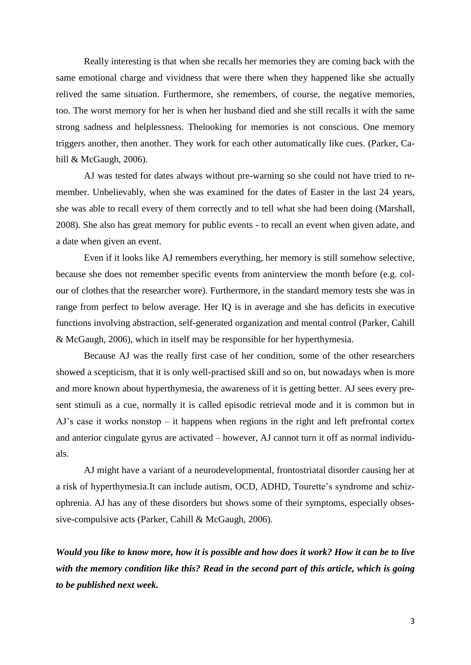Really interesting is that when she recalls her memories they are coming back with the same emotional charge and vividness that were there when they happened like she actually relived the same situation. Furthermore, she remembers, of course, the negative memories, too. The worst memory for her is when her husband died and she still recalls it with the same strong sadness and helplessness. Thelooking for memories is not conscious. One memory triggers another, then another. They work for each other automatically like cues. (Parker, Cahill & McGaugh, 2006).

AJ was tested for dates always without pre-warning so she could not have tried to remember. Unbelievably, when she was examined for the dates of Easter in the last 24 years, she was able to recall every of them correctly and to tell what she had been doing (Marshall, 2008). She also has great memory for public events - to recall an event when given adate, and a date when given an event.

Even if it looks like AJ remembers everything, her memory is still somehow selective, because she does not remember specific events from aninterview the month before (e.g. colour of clothes that the researcher wore). Furthermore, in the standard memory tests she was in range from perfect to below average. Her IQ is in average and she has deficits in executive functions involving abstraction, self-generated organization and mental control (Parker, Cahill & McGaugh, 2006), which in itself may be responsible for her hyperthymesia.

Because AJ was the really first case of her condition, some of the other researchers showed a scepticism, that it is only well-practised skill and so on, but nowadays when is more and more known about hyperthymesia, the awareness of it is getting better. AJ sees every present stimuli as a cue, normally it is called episodic retrieval mode and it is common but in AJ's case it works nonstop – it happens when regions in the right and left prefrontal cortex and anterior cingulate gyrus are activated – however, AJ cannot turn it off as normal individuals.

AJ might have a variant of a neurodevelopmental, frontostriatal disorder causing her at a risk of hyperthymesia.It can include autism, OCD, ADHD, Tourette's syndrome and schizophrenia. AJ has any of these disorders but shows some of their symptoms, especially obsessive-compulsive acts (Parker, Cahill & McGaugh, 2006).

*Would you like to know more, how it is possible and how does it work? How it can be to live with the memory condition like this? Read in the second part of this article, which is going to be published next week.*